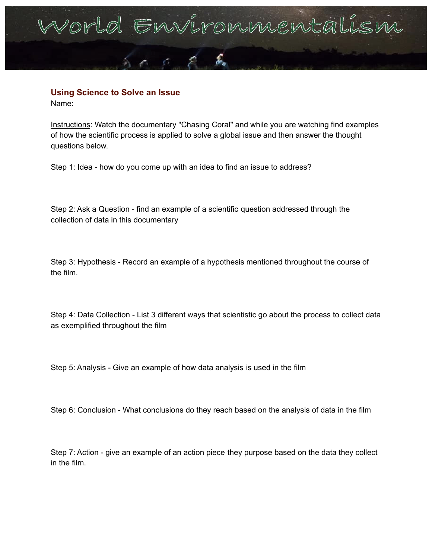## orld Environnienta

## **Using Science to Solve an Issue**

Name:

Instructions: Watch the documentary "Chasing Coral" and while you are watching find examples of how the scientific process is applied to solve a global issue and then answer the thought questions below.

Step 1: Idea - how do you come up with an idea to find an issue to address?

Step 2: Ask a Question - find an example of a scientific question addressed through the collection of data in this documentary

Step 3: Hypothesis - Record an example of a hypothesis mentioned throughout the course of the film.

Step 4: Data Collection - List 3 different ways that scientistic go about the process to collect data as exemplified throughout the film

Step 5: Analysis - Give an example of how data analysis is used in the film

Step 6: Conclusion - What conclusions do they reach based on the analysis of data in the film

Step 7: Action - give an example of an action piece they purpose based on the data they collect in the film.